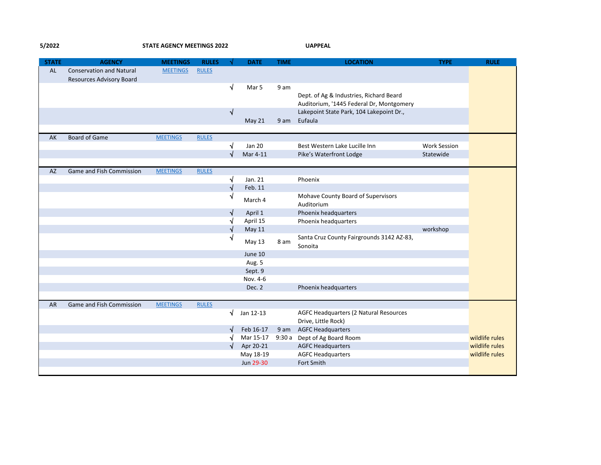**5/2022 STATE AGENCY MEETINGS 2022 UAPPEAL**

| <b>STATE</b> | <b>AGENCY</b>                   | <b>MEETINGS</b> | <b>RULES</b> |            | <b>DATE</b>   | <b>TIME</b> | <b>LOCATION</b>                                      | <b>TYPE</b>         | <b>RULE</b>    |
|--------------|---------------------------------|-----------------|--------------|------------|---------------|-------------|------------------------------------------------------|---------------------|----------------|
| AL           | <b>Conservation and Natural</b> | <b>MEETINGS</b> | <b>RULES</b> |            |               |             |                                                      |                     |                |
|              | <b>Resources Advisory Board</b> |                 |              |            |               |             |                                                      |                     |                |
|              |                                 |                 |              | $\sqrt{}$  | Mar 5         | 9 am        |                                                      |                     |                |
|              |                                 |                 |              |            |               |             | Dept. of Ag & Industries, Richard Beard              |                     |                |
|              |                                 |                 |              |            |               |             | Auditorium, '1445 Federal Dr, Montgomery             |                     |                |
|              |                                 |                 |              | √          |               |             | Lakepoint State Park, 104 Lakepoint Dr.,             |                     |                |
|              |                                 |                 |              |            | May 21        | 9 am        | Eufaula                                              |                     |                |
| AK           | <b>Board of Game</b>            | <b>MEETINGS</b> | <b>RULES</b> |            |               |             |                                                      |                     |                |
|              |                                 |                 |              | √          | <b>Jan 20</b> |             | Best Western Lake Lucille Inn                        | <b>Work Session</b> |                |
|              |                                 |                 |              | √          | Mar 4-11      |             | Pike's Waterfront Lodge                              | Statewide           |                |
|              |                                 |                 |              |            |               |             |                                                      |                     |                |
| <b>AZ</b>    | Game and Fish Commission        | <b>MEETINGS</b> | <b>RULES</b> |            |               |             |                                                      |                     |                |
|              |                                 |                 |              | $\sqrt{}$  | Jan. 21       |             | Phoenix                                              |                     |                |
|              |                                 |                 |              | $\sqrt{ }$ | Feb. 11       |             |                                                      |                     |                |
|              |                                 |                 |              | √          | March 4       |             | Mohave County Board of Supervisors<br>Auditorium     |                     |                |
|              |                                 |                 |              | $\sqrt{ }$ | April 1       |             | Phoenix headquarters                                 |                     |                |
|              |                                 |                 |              |            | April 15      |             | Phoenix headquarters                                 |                     |                |
|              |                                 |                 |              | √          | May 11        |             |                                                      | workshop            |                |
|              |                                 |                 |              | √          | May 13        | 8 am        | Santa Cruz County Fairgrounds 3142 AZ-83,<br>Sonoita |                     |                |
|              |                                 |                 |              |            | June 10       |             |                                                      |                     |                |
|              |                                 |                 |              |            | Aug. 5        |             |                                                      |                     |                |
|              |                                 |                 |              |            | Sept. 9       |             |                                                      |                     |                |
|              |                                 |                 |              |            | Nov. 4-6      |             |                                                      |                     |                |
|              |                                 |                 |              |            | Dec. 2        |             | Phoenix headquarters                                 |                     |                |
|              |                                 |                 |              |            |               |             |                                                      |                     |                |
| <b>AR</b>    | Game and Fish Commission        | <b>MEETINGS</b> | <b>RULES</b> |            |               |             |                                                      |                     |                |
|              |                                 |                 |              | $\sqrt{ }$ | Jan 12-13     |             | AGFC Headquarters (2 Natural Resources               |                     |                |
|              |                                 |                 |              |            |               |             | Drive, Little Rock)                                  |                     |                |
|              |                                 |                 |              | √          | Feb 16-17     |             | 9 am AGFC Headquarters                               |                     |                |
|              |                                 |                 |              |            | Mar 15-17     |             | 9:30 a Dept of Ag Board Room                         |                     | wildlife rules |
|              |                                 |                 |              | √          | Apr 20-21     |             | <b>AGFC Headquarters</b>                             |                     | wildlife rules |
|              |                                 |                 |              |            | May 18-19     |             | <b>AGFC Headquarters</b>                             |                     | wildlife rules |
|              |                                 |                 |              |            | Jun 29-30     |             | Fort Smith                                           |                     |                |
|              |                                 |                 |              |            |               |             |                                                      |                     |                |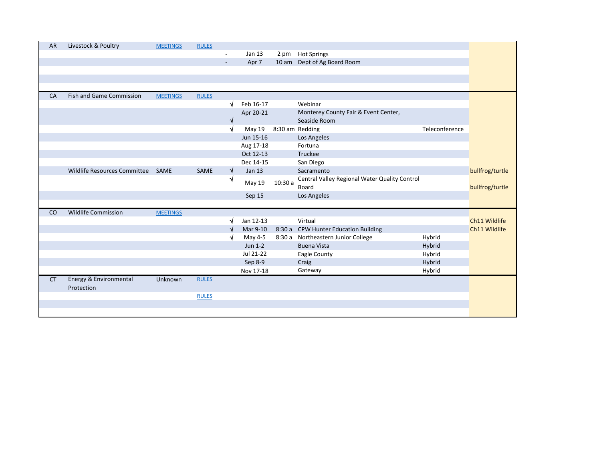| AR        | Livestock & Poultry               | <b>MEETINGS</b> | <b>RULES</b> |           |               |        |                                               |                |                 |
|-----------|-----------------------------------|-----------------|--------------|-----------|---------------|--------|-----------------------------------------------|----------------|-----------------|
|           |                                   |                 |              | -         | Jan 13        |        | 2 pm Hot Springs                              |                |                 |
|           |                                   |                 |              | $\sim$    | Apr 7         |        | 10 am Dept of Ag Board Room                   |                |                 |
|           |                                   |                 |              |           |               |        |                                               |                |                 |
|           |                                   |                 |              |           |               |        |                                               |                |                 |
|           |                                   |                 |              |           |               |        |                                               |                |                 |
| CA        | <b>Fish and Game Commission</b>   | <b>MEETINGS</b> | <b>RULES</b> |           |               |        |                                               |                |                 |
|           |                                   |                 |              | √         | Feb 16-17     |        | Webinar                                       |                |                 |
|           |                                   |                 |              |           | Apr 20-21     |        | Monterey County Fair & Event Center,          |                |                 |
|           |                                   |                 |              | √         |               |        | Seaside Room                                  |                |                 |
|           |                                   |                 |              | $\sqrt{}$ | May 19        |        | 8:30 am Redding                               | Teleconference |                 |
|           |                                   |                 |              |           | Jun 15-16     |        | Los Angeles                                   |                |                 |
|           |                                   |                 |              |           | Aug 17-18     |        | Fortuna                                       |                |                 |
|           |                                   |                 |              |           | Oct 12-13     |        | Truckee                                       |                |                 |
|           |                                   |                 |              |           | Dec 14-15     |        | San Diego                                     |                |                 |
|           | Wildlife Resources Committee SAME |                 | SAME         | V         | <b>Jan 13</b> |        | Sacramento                                    |                | bullfrog/turtle |
|           |                                   |                 |              | √         |               |        | Central Valley Regional Water Quality Control |                |                 |
|           |                                   |                 |              |           | May 19        | 10:30a | Board                                         |                | bullfrog/turtle |
|           |                                   |                 |              |           | Sep 15        |        | Los Angeles                                   |                |                 |
|           |                                   |                 |              |           |               |        |                                               |                |                 |
| CO        | <b>Wildlife Commission</b>        | <b>MEETINGS</b> |              |           |               |        |                                               |                |                 |
|           |                                   |                 |              |           | Jan 12-13     |        | Virtual                                       |                | Ch11 Wildlife   |
|           |                                   |                 |              |           | Mar 9-10      |        | 8:30 a CPW Hunter Education Building          |                | Ch11 Wildlife   |
|           |                                   |                 |              |           | May 4-5       |        | 8:30 a Northeastern Junior College            | Hybrid         |                 |
|           |                                   |                 |              |           | $Jun 1-2$     |        | <b>Buena Vista</b>                            | Hybrid         |                 |
|           |                                   |                 |              |           | Jul 21-22     |        | Eagle County                                  | Hybrid         |                 |
|           |                                   |                 |              |           | Sep 8-9       |        | Craig                                         | Hybrid         |                 |
|           |                                   |                 |              |           | Nov 17-18     |        | Gateway                                       | Hybrid         |                 |
| <b>CT</b> | Energy & Environmental            | Unknown         | <b>RULES</b> |           |               |        |                                               |                |                 |
|           | Protection                        |                 |              |           |               |        |                                               |                |                 |
|           |                                   |                 | <b>RULES</b> |           |               |        |                                               |                |                 |
|           |                                   |                 |              |           |               |        |                                               |                |                 |
|           |                                   |                 |              |           |               |        |                                               |                |                 |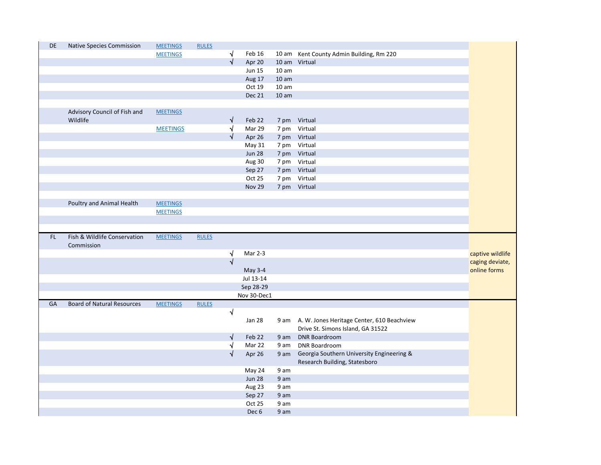| DE  | <b>Native Species Commission</b>  | <b>MEETINGS</b> | <b>RULES</b> |                       |                            |                  |                                                 |                  |
|-----|-----------------------------------|-----------------|--------------|-----------------------|----------------------------|------------------|-------------------------------------------------|------------------|
|     |                                   | <b>MEETINGS</b> |              | √                     | Feb 16                     |                  | 10 am Kent County Admin Building, Rm 220        |                  |
|     |                                   |                 |              | $\sqrt{}$             | Apr 20                     |                  | 10 am Virtual                                   |                  |
|     |                                   |                 |              |                       | <b>Jun 15</b>              | 10 <sub>am</sub> |                                                 |                  |
|     |                                   |                 |              |                       | Aug 17                     | 10 <sub>am</sub> |                                                 |                  |
|     |                                   |                 |              |                       | Oct 19                     | 10 <sub>am</sub> |                                                 |                  |
|     |                                   |                 |              |                       | <b>Dec 21</b>              | 10 <sub>am</sub> |                                                 |                  |
|     |                                   |                 |              |                       |                            |                  |                                                 |                  |
|     | Advisory Council of Fish and      | <b>MEETINGS</b> |              |                       |                            |                  |                                                 |                  |
|     | Wildlife                          |                 |              | √                     | Feb 22                     |                  | 7 pm Virtual                                    |                  |
|     |                                   | <b>MEETINGS</b> |              | √                     | Mar 29                     |                  | 7 pm Virtual                                    |                  |
|     |                                   |                 |              | $\sqrt{}$             | Apr 26                     |                  | 7 pm Virtual                                    |                  |
|     |                                   |                 |              |                       | May 31                     |                  | 7 pm Virtual                                    |                  |
|     |                                   |                 |              |                       | <b>Jun 28</b>              |                  | 7 pm Virtual                                    |                  |
|     |                                   |                 |              |                       | Aug 30                     |                  | 7 pm Virtual                                    |                  |
|     |                                   |                 |              |                       | Sep 27                     |                  | 7 pm Virtual                                    |                  |
|     |                                   |                 |              |                       | Oct 25                     |                  | 7 pm Virtual                                    |                  |
|     |                                   |                 |              |                       | <b>Nov 29</b>              |                  | 7 pm Virtual                                    |                  |
|     |                                   |                 |              |                       |                            |                  |                                                 |                  |
|     | Poultry and Animal Health         | <b>MEETINGS</b> |              |                       |                            |                  |                                                 |                  |
|     |                                   | <b>MEETINGS</b> |              |                       |                            |                  |                                                 |                  |
|     |                                   |                 |              |                       |                            |                  |                                                 |                  |
|     |                                   |                 |              |                       |                            |                  |                                                 |                  |
| FL. | Fish & Wildlife Conservation      | <b>MEETINGS</b> | <b>RULES</b> |                       |                            |                  |                                                 |                  |
|     | Commission                        |                 |              |                       |                            |                  |                                                 |                  |
|     |                                   |                 |              | ٧                     | Mar 2-3                    |                  |                                                 | captive wildlife |
|     |                                   |                 |              | $\sqrt{}$             |                            |                  |                                                 | caging deviate,  |
|     |                                   |                 |              |                       | May 3-4                    |                  |                                                 | online forms     |
|     |                                   |                 |              |                       | Jul 13-14                  |                  |                                                 |                  |
|     |                                   |                 |              |                       | Sep 28-29                  |                  |                                                 |                  |
|     |                                   |                 |              |                       |                            |                  |                                                 |                  |
|     |                                   |                 |              |                       |                            |                  |                                                 |                  |
|     |                                   |                 |              |                       | Nov 30-Dec1                |                  |                                                 |                  |
| GA  | <b>Board of Natural Resources</b> | <b>MEETINGS</b> | <b>RULES</b> |                       |                            |                  |                                                 |                  |
|     |                                   |                 |              | $\sqrt{}$             |                            |                  |                                                 |                  |
|     |                                   |                 |              |                       | <b>Jan 28</b>              |                  | 9 am A. W. Jones Heritage Center, 610 Beachview |                  |
|     |                                   |                 |              |                       |                            |                  | Drive St. Simons Island, GA 31522               |                  |
|     |                                   |                 |              | √                     | Feb 22                     |                  | 9 am DNR Boardroom                              |                  |
|     |                                   |                 |              | $\overline{\sqrt{ }}$ | Mar 22                     | 9 am             | <b>DNR Boardroom</b>                            |                  |
|     |                                   |                 |              | $\sqrt{}$             | Apr 26                     | 9 am             | Georgia Southern University Engineering &       |                  |
|     |                                   |                 |              |                       |                            |                  | Research Building, Statesboro                   |                  |
|     |                                   |                 |              |                       | May 24                     | 9 am             |                                                 |                  |
|     |                                   |                 |              |                       | <b>Jun 28</b>              | 9 am             |                                                 |                  |
|     |                                   |                 |              |                       | Aug 23                     | 9 am             |                                                 |                  |
|     |                                   |                 |              |                       | Sep 27                     | 9 am             |                                                 |                  |
|     |                                   |                 |              |                       | Oct 25<br>Dec <sub>6</sub> | 9 am<br>9 am     |                                                 |                  |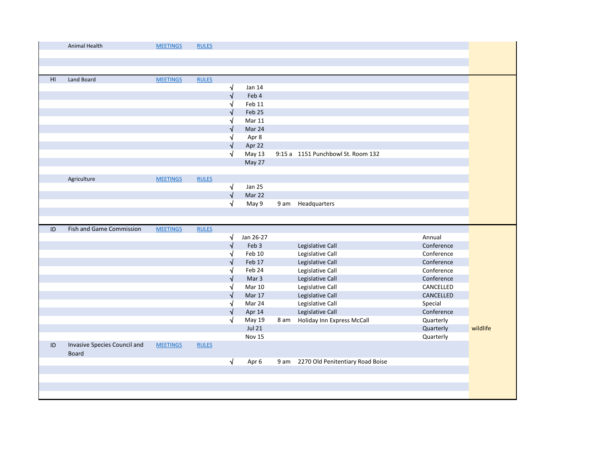|    | Animal Health                                | <b>MEETINGS</b> | <b>RULES</b> |           |               |      |                                       |            |          |
|----|----------------------------------------------|-----------------|--------------|-----------|---------------|------|---------------------------------------|------------|----------|
|    |                                              |                 |              |           |               |      |                                       |            |          |
|    |                                              |                 |              |           |               |      |                                       |            |          |
| HI | Land Board                                   | <b>MEETINGS</b> | <b>RULES</b> |           |               |      |                                       |            |          |
|    |                                              |                 |              | $\sqrt{}$ | Jan 14        |      |                                       |            |          |
|    |                                              |                 |              | √         | Feb 4         |      |                                       |            |          |
|    |                                              |                 |              | √         | Feb 11        |      |                                       |            |          |
|    |                                              |                 |              | V         | Feb 25        |      |                                       |            |          |
|    |                                              |                 |              | ٦J        | <b>Mar 11</b> |      |                                       |            |          |
|    |                                              |                 |              |           | Mar 24        |      |                                       |            |          |
|    |                                              |                 |              | ٦J        | Apr 8         |      |                                       |            |          |
|    |                                              |                 |              | √         | Apr 22        |      |                                       |            |          |
|    |                                              |                 |              | √         | May 13        |      | 9:15 a 1151 Punchbowl St. Room 132    |            |          |
|    |                                              |                 |              |           | May 27        |      |                                       |            |          |
|    |                                              |                 |              |           |               |      |                                       |            |          |
|    | Agriculture                                  | <b>MEETINGS</b> | <b>RULES</b> |           |               |      |                                       |            |          |
|    |                                              |                 |              | $\sqrt{}$ | <b>Jan 25</b> |      |                                       |            |          |
|    |                                              |                 |              | $\sqrt{}$ | Mar 22        |      |                                       |            |          |
|    |                                              |                 |              | $\sqrt{}$ | May 9         | 9 am | Headquarters                          |            |          |
|    |                                              |                 |              |           |               |      |                                       |            |          |
| ID | <b>Fish and Game Commission</b>              | <b>MEETINGS</b> | <b>RULES</b> |           |               |      |                                       |            |          |
|    |                                              |                 |              | √         | Jan 26-27     |      |                                       | Annual     |          |
|    |                                              |                 |              | √         | Feb 3         |      | Legislative Call                      | Conference |          |
|    |                                              |                 |              | √         | Feb 10        |      | Legislative Call                      | Conference |          |
|    |                                              |                 |              | V         | Feb 17        |      |                                       |            |          |
|    |                                              |                 |              |           |               |      | Legislative Call                      | Conference |          |
|    |                                              |                 |              | √         | Feb 24        |      | Legislative Call                      | Conference |          |
|    |                                              |                 |              | V         | Mar 3         |      | Legislative Call                      | Conference |          |
|    |                                              |                 |              | √         | <b>Mar 10</b> |      | Legislative Call                      | CANCELLED  |          |
|    |                                              |                 |              | N         | Mar 17        |      | Legislative Call                      | CANCELLED  |          |
|    |                                              |                 |              | ٦J        | Mar 24        |      | Legislative Call                      | Special    |          |
|    |                                              |                 |              | √         | Apr 14        |      | Legislative Call                      | Conference |          |
|    |                                              |                 |              | √         | May 19        | 8 am | Holiday Inn Express McCall            | Quarterly  |          |
|    |                                              |                 |              |           | <b>Jul 21</b> |      |                                       | Quarterly  | wildlife |
|    |                                              |                 |              |           | Nov 15        |      |                                       | Quarterly  |          |
| ID | Invasive Species Council and<br><b>Board</b> | <b>MEETINGS</b> | <b>RULES</b> |           |               |      |                                       |            |          |
|    |                                              |                 |              | $\sqrt{}$ | Apr 6         |      | 9 am 2270 Old Penitentiary Road Boise |            |          |
|    |                                              |                 |              |           |               |      |                                       |            |          |
|    |                                              |                 |              |           |               |      |                                       |            |          |
|    |                                              |                 |              |           |               |      |                                       |            |          |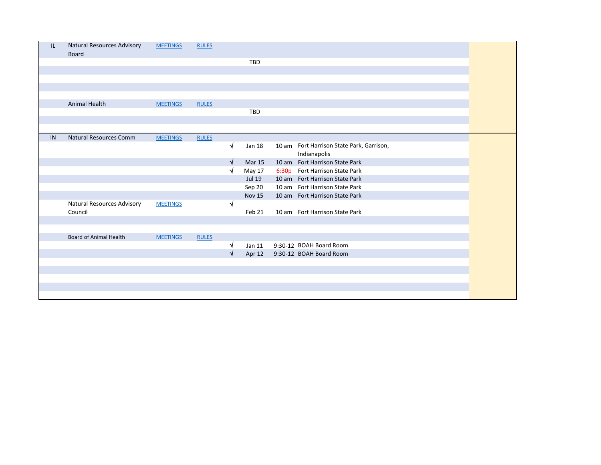| IL | Natural Resources Advisory<br>Board | <b>MEETINGS</b> | <b>RULES</b> |            |               |                                                           |
|----|-------------------------------------|-----------------|--------------|------------|---------------|-----------------------------------------------------------|
|    |                                     |                 |              |            | <b>TBD</b>    |                                                           |
|    |                                     |                 |              |            |               |                                                           |
|    |                                     |                 |              |            |               |                                                           |
|    |                                     |                 |              |            |               |                                                           |
|    |                                     |                 |              |            |               |                                                           |
|    | Animal Health                       | <b>MEETINGS</b> | <b>RULES</b> |            |               |                                                           |
|    |                                     |                 |              |            | <b>TBD</b>    |                                                           |
|    |                                     |                 |              |            |               |                                                           |
|    |                                     |                 |              |            |               |                                                           |
| IN | <b>Natural Resources Comm</b>       | <b>MEETINGS</b> | <b>RULES</b> |            |               |                                                           |
|    |                                     |                 |              | $\sqrt{ }$ | Jan 18        | 10 am Fort Harrison State Park, Garrison,<br>Indianapolis |
|    |                                     |                 |              | V          | <b>Mar 15</b> | 10 am Fort Harrison State Park                            |
|    |                                     |                 |              | $\sqrt{ }$ | May 17        | 6:30p Fort Harrison State Park                            |
|    |                                     |                 |              |            | Jul 19        | 10 am Fort Harrison State Park                            |
|    |                                     |                 |              |            | Sep 20        | 10 am Fort Harrison State Park                            |
|    |                                     |                 |              |            | <b>Nov 15</b> | 10 am Fort Harrison State Park                            |
|    | Natural Resources Advisory          | <b>MEETINGS</b> |              | $\sqrt{ }$ |               |                                                           |
|    | Council                             |                 |              |            | Feb 21        | 10 am Fort Harrison State Park                            |
|    |                                     |                 |              |            |               |                                                           |
|    |                                     |                 |              |            |               |                                                           |
|    | <b>Board of Animal Health</b>       | <b>MEETINGS</b> | <b>RULES</b> |            |               |                                                           |
|    |                                     |                 |              | N          | Jan 11        | 9:30-12 BOAH Board Room                                   |
|    |                                     |                 |              | $\sqrt{ }$ |               | Apr 12 9:30-12 BOAH Board Room                            |
|    |                                     |                 |              |            |               |                                                           |
|    |                                     |                 |              |            |               |                                                           |
|    |                                     |                 |              |            |               |                                                           |
|    |                                     |                 |              |            |               |                                                           |
|    |                                     |                 |              |            |               |                                                           |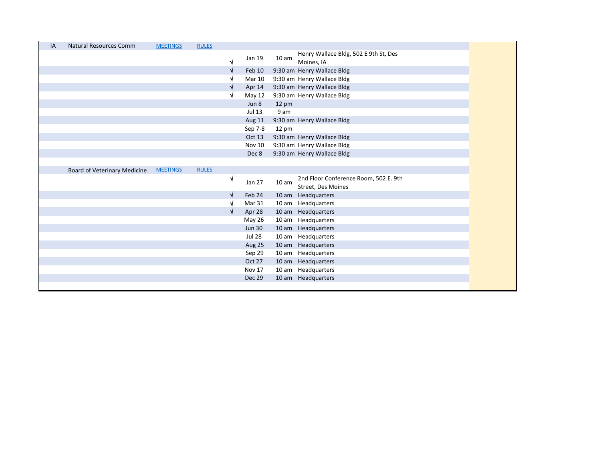| IA | <b>Natural Resources Comm</b> | <b>MEETINGS</b> | <b>RULES</b> |            |               |                  |                                                                    |
|----|-------------------------------|-----------------|--------------|------------|---------------|------------------|--------------------------------------------------------------------|
|    |                               |                 |              | $\sqrt{}$  | Jan 19        | 10 <sub>am</sub> | Henry Wallace Bldg, 502 E 9th St, Des<br>Moines, IA                |
|    |                               |                 |              | N          | Feb 10        |                  | 9:30 am Henry Wallace Bldg                                         |
|    |                               |                 |              |            | <b>Mar 10</b> |                  | 9:30 am Henry Wallace Bldg                                         |
|    |                               |                 |              | V          | Apr 14        |                  | 9:30 am Henry Wallace Bldg                                         |
|    |                               |                 |              | N          | May 12        |                  | 9:30 am Henry Wallace Bldg                                         |
|    |                               |                 |              |            | Jun 8         | $12 \text{ pm}$  |                                                                    |
|    |                               |                 |              |            | Jul 13        | 9 am             |                                                                    |
|    |                               |                 |              |            | Aug 11        |                  | 9:30 am Henry Wallace Bldg                                         |
|    |                               |                 |              |            | Sep 7-8       | $12 \text{ pm}$  |                                                                    |
|    |                               |                 |              |            | Oct 13        |                  | 9:30 am Henry Wallace Bldg                                         |
|    |                               |                 |              |            | <b>Nov 10</b> |                  | 9:30 am Henry Wallace Bldg                                         |
|    |                               |                 |              |            | Dec 8         |                  | 9:30 am Henry Wallace Bldg                                         |
|    |                               |                 |              |            |               |                  |                                                                    |
|    | Board of Veterinary Medicine  | <b>MEETINGS</b> | <b>RULES</b> |            |               |                  |                                                                    |
|    |                               |                 |              |            |               |                  |                                                                    |
|    |                               |                 |              | $\sqrt{ }$ | Jan 27        | 10 <sub>am</sub> | 2nd Floor Conference Room, 502 E. 9th<br><b>Street, Des Moines</b> |
|    |                               |                 |              | N          | Feb 24        |                  |                                                                    |
|    |                               |                 |              | N          | Mar 31        |                  | 10 am Headquarters<br>10 am Headquarters                           |
|    |                               |                 |              | √          | Apr 28        |                  | 10 am Headquarters                                                 |
|    |                               |                 |              |            | May 26        |                  | 10 am Headquarters                                                 |
|    |                               |                 |              |            | <b>Jun 30</b> |                  | 10 am Headquarters                                                 |
|    |                               |                 |              |            | <b>Jul 28</b> |                  | 10 am Headquarters                                                 |
|    |                               |                 |              |            | <b>Aug 25</b> |                  | 10 am Headquarters                                                 |
|    |                               |                 |              |            | Sep 29        |                  | 10 am Headquarters                                                 |
|    |                               |                 |              |            | Oct 27        |                  | 10 am Headquarters                                                 |
|    |                               |                 |              |            | Nov 17        |                  | 10 am Headquarters                                                 |
|    |                               |                 |              |            | Dec 29        |                  | 10 am Headquarters                                                 |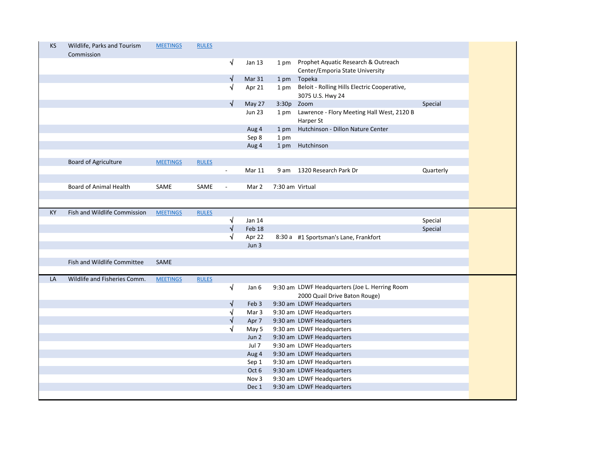|    | Wildlife, Parks and Tourism<br>Commission | <b>MEETINGS</b> | <b>RULES</b> |                |                |                 |                                                                        |           |
|----|-------------------------------------------|-----------------|--------------|----------------|----------------|-----------------|------------------------------------------------------------------------|-----------|
|    |                                           |                 |              | V              | Jan 13         | 1 pm            | Prophet Aquatic Research & Outreach<br>Center/Emporia State University |           |
|    |                                           |                 |              | √              | Mar 31         |                 | 1 pm Topeka                                                            |           |
|    |                                           |                 |              | V              | Apr 21         | 1 pm            | Beloit - Rolling Hills Electric Cooperative,<br>3075 U.S. Hwy 24       |           |
|    |                                           |                 |              | √              | May 27         | 3:30p           | Zoom                                                                   | Special   |
|    |                                           |                 |              |                | <b>Jun 23</b>  | 1 pm            | Lawrence - Flory Meeting Hall West, 2120 B<br>Harper St                |           |
|    |                                           |                 |              |                | Aug 4          | 1 pm            | Hutchinson - Dillon Nature Center                                      |           |
|    |                                           |                 |              |                | Sep 8          | 1 pm            |                                                                        |           |
|    |                                           |                 |              |                | Aug 4          |                 | 1 pm Hutchinson                                                        |           |
|    |                                           |                 |              |                |                |                 |                                                                        |           |
|    | <b>Board of Agriculture</b>               | <b>MEETINGS</b> | <b>RULES</b> |                |                |                 |                                                                        |           |
|    |                                           |                 |              | $\sim$         | Mar 11         | 9 am            | 1320 Research Park Dr                                                  | Quarterly |
|    |                                           |                 |              |                |                |                 |                                                                        |           |
|    | <b>Board of Animal Health</b>             | SAME            | SAME         | $\blacksquare$ | Mar 2          | 7:30 am Virtual |                                                                        |           |
|    |                                           |                 |              |                |                |                 |                                                                        |           |
|    |                                           |                 |              |                |                |                 |                                                                        |           |
| KY | Fish and Wildlife Commission              | <b>MEETINGS</b> | <b>RULES</b> |                |                |                 |                                                                        |           |
|    |                                           |                 |              | √              | Jan 14         |                 |                                                                        | Special   |
|    |                                           |                 |              | N              | Feb 18         |                 |                                                                        | Special   |
|    |                                           |                 |              | N              | Apr 22         |                 | 8:30 a #1 Sportsman's Lane, Frankfort                                  |           |
|    |                                           |                 |              |                | Jun 3          |                 |                                                                        |           |
|    |                                           |                 |              |                |                |                 |                                                                        |           |
|    |                                           |                 |              |                |                |                 |                                                                        |           |
|    | Fish and Wildlife Committee               | SAME            |              |                |                |                 |                                                                        |           |
|    |                                           |                 |              |                |                |                 |                                                                        |           |
| LA | Wildlife and Fisheries Comm.              | <b>MEETINGS</b> | <b>RULES</b> |                |                |                 |                                                                        |           |
|    |                                           |                 |              | $\sqrt{}$      | Jan 6          |                 | 9:30 am LDWF Headquarters (Joe L. Herring Room                         |           |
|    |                                           |                 |              |                |                |                 | 2000 Quail Drive Baton Rouge)                                          |           |
|    |                                           |                 |              | $\sqrt{}$      | Feb 3          |                 | 9:30 am LDWF Headquarters                                              |           |
|    |                                           |                 |              | √              | Mar 3          |                 | 9:30 am LDWF Headquarters                                              |           |
|    |                                           |                 |              | √              | Apr 7          |                 | 9:30 am LDWF Headquarters                                              |           |
|    |                                           |                 |              | √              | May 5<br>Jun 2 |                 | 9:30 am LDWF Headquarters                                              |           |
|    |                                           |                 |              |                | Jul 7          |                 | 9:30 am LDWF Headquarters                                              |           |
|    |                                           |                 |              |                |                |                 | 9:30 am LDWF Headquarters                                              |           |
|    |                                           |                 |              |                | Aug 4<br>Sep 1 |                 | 9:30 am LDWF Headquarters                                              |           |
|    |                                           |                 |              |                | Oct 6          |                 | 9:30 am LDWF Headquarters                                              |           |
|    |                                           |                 |              |                | Nov 3          |                 | 9:30 am LDWF Headquarters                                              |           |
|    |                                           |                 |              |                | Dec 1          |                 | 9:30 am LDWF Headquarters<br>9:30 am LDWF Headquarters                 |           |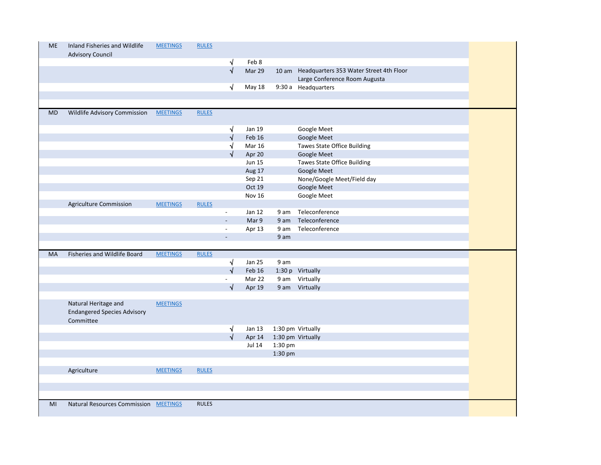| <b>ME</b> | Inland Fisheries and Wildlife<br><b>Advisory Council</b> | <b>MEETINGS</b> | <b>RULES</b> |                          |               |         |                                               |
|-----------|----------------------------------------------------------|-----------------|--------------|--------------------------|---------------|---------|-----------------------------------------------|
|           |                                                          |                 |              | √                        | Feb 8         |         |                                               |
|           |                                                          |                 |              | $\sqrt{2}$               | Mar 29        |         | 10 am Headquarters 353 Water Street 4th Floor |
|           |                                                          |                 |              |                          |               |         | Large Conference Room Augusta                 |
|           |                                                          |                 |              | √                        | <b>May 18</b> |         | 9:30 a Headquarters                           |
|           |                                                          |                 |              |                          |               |         |                                               |
|           |                                                          |                 |              |                          |               |         |                                               |
| <b>MD</b> | Wildlife Advisory Commission                             | <b>MEETINGS</b> | <b>RULES</b> |                          |               |         |                                               |
|           |                                                          |                 |              |                          |               |         |                                               |
|           |                                                          |                 |              | √                        | Jan 19        |         | Google Meet                                   |
|           |                                                          |                 |              | √                        | Feb 16        |         | Google Meet                                   |
|           |                                                          |                 |              | √                        | <b>Mar 16</b> |         | <b>Tawes State Office Building</b>            |
|           |                                                          |                 |              |                          | Apr 20        |         | Google Meet                                   |
|           |                                                          |                 |              |                          | <b>Jun 15</b> |         | Tawes State Office Building                   |
|           |                                                          |                 |              |                          | Aug 17        |         | Google Meet                                   |
|           |                                                          |                 |              |                          | Sep 21        |         | None/Google Meet/Field day                    |
|           |                                                          |                 |              |                          | Oct 19        |         | Google Meet                                   |
|           |                                                          |                 |              |                          | <b>Nov 16</b> |         | Google Meet                                   |
|           | Agriculture Commission                                   | <b>MEETINGS</b> | <b>RULES</b> |                          |               |         |                                               |
|           |                                                          |                 |              | $\blacksquare$           | Jan 12        | 9 am    | Teleconference                                |
|           |                                                          |                 |              | $\omega$                 | Mar 9         | 9 am    | Teleconference                                |
|           |                                                          |                 |              | $\blacksquare$           | Apr 13        | 9 am    | Teleconference                                |
|           |                                                          |                 |              | $\overline{\phantom{a}}$ |               | 9 am    |                                               |
|           |                                                          |                 |              |                          |               |         |                                               |
| MA        | Fisheries and Wildlife Board                             | <b>MEETINGS</b> | <b>RULES</b> |                          |               |         |                                               |
|           |                                                          |                 |              | √                        | <b>Jan 25</b> | 9 am    |                                               |
|           |                                                          |                 |              | $\sqrt{}$                | Feb 16        |         | 1:30 p Virtually                              |
|           |                                                          |                 |              |                          | Mar 22        |         | 9 am Virtually                                |
|           |                                                          |                 |              | √                        | Apr 19        |         | 9 am Virtually                                |
|           |                                                          |                 |              |                          |               |         |                                               |
|           | Natural Heritage and                                     | <b>MEETINGS</b> |              |                          |               |         |                                               |
|           | <b>Endangered Species Advisory</b>                       |                 |              |                          |               |         |                                               |
|           | Committee                                                |                 |              |                          |               |         |                                               |
|           |                                                          |                 |              | ٦                        | Jan 13        |         | 1:30 pm Virtually                             |
|           |                                                          |                 |              |                          | Apr 14        |         | 1:30 pm Virtually                             |
|           |                                                          |                 |              |                          | <b>Jul 14</b> | 1:30 pm |                                               |
|           |                                                          |                 |              |                          |               | 1:30 pm |                                               |
|           |                                                          |                 |              |                          |               |         |                                               |
|           | Agriculture                                              | <b>MEETINGS</b> | <b>RULES</b> |                          |               |         |                                               |
|           |                                                          |                 |              |                          |               |         |                                               |
|           |                                                          |                 |              |                          |               |         |                                               |
| MI        |                                                          |                 | <b>RULES</b> |                          |               |         |                                               |
|           |                                                          |                 |              |                          |               |         |                                               |
|           | <b>Natural Resources Commission</b>                      | <b>MEETINGS</b> |              |                          |               |         |                                               |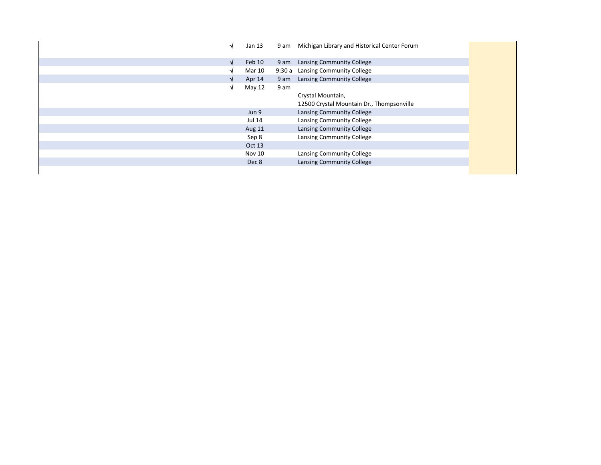|   | Jan 13        |      | 9 am Michigan Library and Historical Center Forum |
|---|---------------|------|---------------------------------------------------|
| N | Feb 10        | 9 am | Lansing Community College                         |
|   | <b>Mar 10</b> |      | 9:30 a Lansing Community College                  |
|   | Apr 14        |      | 9 am Lansing Community College                    |
|   | May 12        | 9 am |                                                   |
|   |               |      | Crystal Mountain,                                 |
|   |               |      | 12500 Crystal Mountain Dr., Thompsonville         |
|   | Jun 9         |      | Lansing Community College                         |
|   | <b>Jul 14</b> |      | Lansing Community College                         |
|   | Aug 11        |      | Lansing Community College                         |
|   | Sep 8         |      | Lansing Community College                         |
|   | Oct 13        |      |                                                   |
|   | Nov 10        |      | Lansing Community College                         |
|   | Dec 8         |      | Lansing Community College                         |
|   |               |      |                                                   |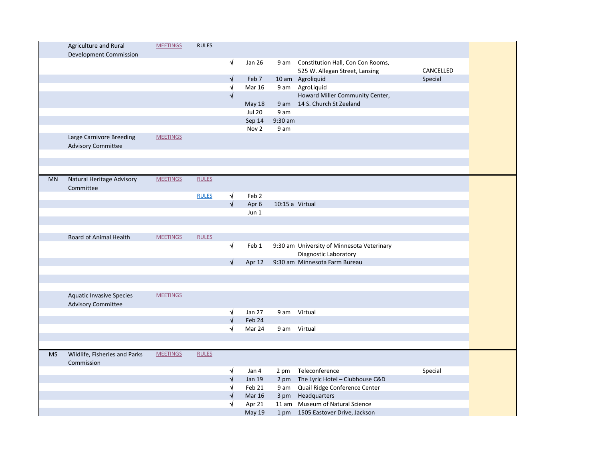|           | Agriculture and Rural           | <b>MEETINGS</b> | <b>RULES</b> |            |                  |                 |                                            |           |
|-----------|---------------------------------|-----------------|--------------|------------|------------------|-----------------|--------------------------------------------|-----------|
|           | Development Commission          |                 |              |            |                  |                 |                                            |           |
|           |                                 |                 |              | $\sqrt{}$  | <b>Jan 26</b>    | 9 am            | Constitution Hall, Con Con Rooms,          |           |
|           |                                 |                 |              |            |                  |                 |                                            | CANCELLED |
|           |                                 |                 |              | $\sqrt{}$  | Feb 7            |                 | 525 W. Allegan Street, Lansing             | Special   |
|           |                                 |                 |              |            |                  |                 | 10 am Agroliquid                           |           |
|           |                                 |                 |              | √          | <b>Mar 16</b>    | 9 am            | AgroLiquid                                 |           |
|           |                                 |                 |              | $\sqrt{ }$ |                  |                 | Howard Miller Community Center,            |           |
|           |                                 |                 |              |            | May 18           |                 | 9 am 14 S. Church St Zeeland               |           |
|           |                                 |                 |              |            | <b>Jul 20</b>    | 9 am            |                                            |           |
|           |                                 |                 |              |            | Sep 14           | 9:30 am         |                                            |           |
|           |                                 |                 |              |            | Nov <sub>2</sub> | 9 am            |                                            |           |
|           | Large Carnivore Breeding        | <b>MEETINGS</b> |              |            |                  |                 |                                            |           |
|           | <b>Advisory Committee</b>       |                 |              |            |                  |                 |                                            |           |
|           |                                 |                 |              |            |                  |                 |                                            |           |
|           |                                 |                 |              |            |                  |                 |                                            |           |
|           |                                 |                 |              |            |                  |                 |                                            |           |
| <b>MN</b> | Natural Heritage Advisory       | <b>MEETINGS</b> | <b>RULES</b> |            |                  |                 |                                            |           |
|           | Committee                       |                 |              |            |                  |                 |                                            |           |
|           |                                 |                 | <b>RULES</b> | $\sqrt{ }$ | Feb <sub>2</sub> |                 |                                            |           |
|           |                                 |                 |              | $\sqrt{ }$ | Apr 6            | 10:15 a Virtual |                                            |           |
|           |                                 |                 |              |            | Jun 1            |                 |                                            |           |
|           |                                 |                 |              |            |                  |                 |                                            |           |
|           |                                 |                 |              |            |                  |                 |                                            |           |
|           | <b>Board of Animal Health</b>   | <b>MEETINGS</b> | <b>RULES</b> |            |                  |                 |                                            |           |
|           |                                 |                 |              | $\sqrt{}$  | Feb 1            |                 | 9:30 am University of Minnesota Veterinary |           |
|           |                                 |                 |              |            |                  |                 | Diagnostic Laboratory                      |           |
|           |                                 |                 |              | $\sqrt{}$  | Apr 12           |                 | 9:30 am Minnesota Farm Bureau              |           |
|           |                                 |                 |              |            |                  |                 |                                            |           |
|           |                                 |                 |              |            |                  |                 |                                            |           |
|           |                                 |                 |              |            |                  |                 |                                            |           |
|           | <b>Aquatic Invasive Species</b> | <b>MEETINGS</b> |              |            |                  |                 |                                            |           |
|           | <b>Advisory Committee</b>       |                 |              |            |                  |                 |                                            |           |
|           |                                 |                 |              | $\sqrt{}$  | Jan 27           |                 | 9 am Virtual                               |           |
|           |                                 |                 |              | $\sqrt{ }$ | Feb 24           |                 |                                            |           |
|           |                                 |                 |              | √          | Mar 24           |                 | 9 am Virtual                               |           |
|           |                                 |                 |              |            |                  |                 |                                            |           |
|           |                                 |                 |              |            |                  |                 |                                            |           |
| <b>MS</b> | Wildlife, Fisheries and Parks   | <b>MEETINGS</b> | <b>RULES</b> |            |                  |                 |                                            |           |
|           | Commission                      |                 |              |            |                  |                 |                                            |           |
|           |                                 |                 |              | √          | Jan 4            |                 | 2 pm Teleconference                        | Special   |
|           |                                 |                 |              | $\sqrt{}$  | <b>Jan 19</b>    |                 | 2 pm The Lyric Hotel - Clubhouse C&D       |           |
|           |                                 |                 |              | $\sqrt{}$  | Feb 21           | 9 am            | Quail Ridge Conference Center              |           |
|           |                                 |                 |              | √          | <b>Mar 16</b>    |                 | 3 pm Headquarters                          |           |
|           |                                 |                 |              | N          | Apr 21           |                 | 11 am Museum of Natural Science            |           |
|           |                                 |                 |              |            | <b>May 19</b>    |                 |                                            |           |
|           |                                 |                 |              |            |                  |                 | 1 pm 1505 Eastover Drive, Jackson          |           |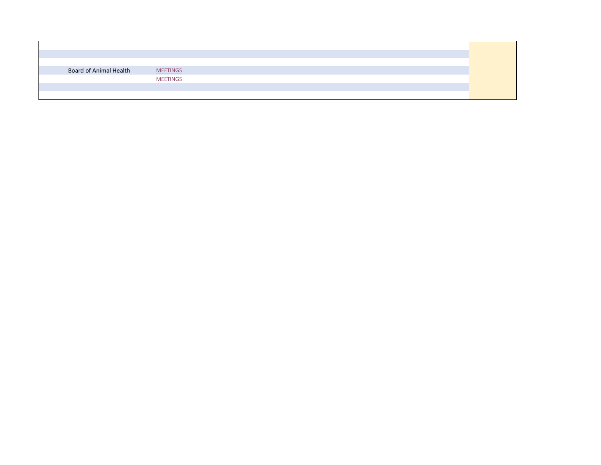| Board of Animal Health | <b>MEETINGS</b> |  |  |  |
|------------------------|-----------------|--|--|--|
|                        | <b>MEETINGS</b> |  |  |  |
|                        |                 |  |  |  |
|                        |                 |  |  |  |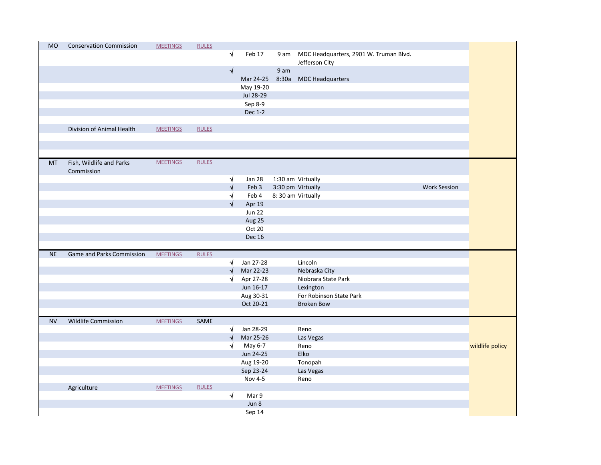| <b>MO</b> |                                |                 |              |            |                 |      |                                             |                     |                 |
|-----------|--------------------------------|-----------------|--------------|------------|-----------------|------|---------------------------------------------|---------------------|-----------------|
|           | <b>Conservation Commission</b> | <b>MEETINGS</b> | <b>RULES</b> |            |                 |      |                                             |                     |                 |
|           |                                |                 |              | $\sqrt{ }$ | Feb 17          |      | 9 am MDC Headquarters, 2901 W. Truman Blvd. |                     |                 |
|           |                                |                 |              |            |                 |      | Jefferson City                              |                     |                 |
|           |                                |                 |              | $\sqrt{ }$ |                 | 9 am |                                             |                     |                 |
|           |                                |                 |              |            | Mar 24-25       |      | 8:30a MDC Headquarters                      |                     |                 |
|           |                                |                 |              |            | May 19-20       |      |                                             |                     |                 |
|           |                                |                 |              |            | Jul 28-29       |      |                                             |                     |                 |
|           |                                |                 |              |            | Sep 8-9         |      |                                             |                     |                 |
|           |                                |                 |              |            | Dec 1-2         |      |                                             |                     |                 |
|           |                                |                 |              |            |                 |      |                                             |                     |                 |
|           | Division of Animal Health      | <b>MEETINGS</b> | <b>RULES</b> |            |                 |      |                                             |                     |                 |
|           |                                |                 |              |            |                 |      |                                             |                     |                 |
|           |                                |                 |              |            |                 |      |                                             |                     |                 |
|           |                                |                 |              |            |                 |      |                                             |                     |                 |
| <b>MT</b> | Fish, Wildlife and Parks       | <b>MEETINGS</b> | <b>RULES</b> |            |                 |      |                                             |                     |                 |
|           | Commission                     |                 |              |            |                 |      |                                             |                     |                 |
|           |                                |                 |              | $\sqrt{ }$ | Jan 28          |      | 1:30 am Virtually                           |                     |                 |
|           |                                |                 |              | $\sqrt{}$  | Feb 3           |      | 3:30 pm Virtually                           | <b>Work Session</b> |                 |
|           |                                |                 |              | √<br>√     | Feb 4           |      | 8:30 am Virtually                           |                     |                 |
|           |                                |                 |              |            | Apr 19          |      |                                             |                     |                 |
|           |                                |                 |              |            | <b>Jun 22</b>   |      |                                             |                     |                 |
|           |                                |                 |              |            | Aug 25          |      |                                             |                     |                 |
|           |                                |                 |              |            | Oct 20          |      |                                             |                     |                 |
|           |                                |                 |              |            |                 |      |                                             |                     |                 |
|           |                                |                 |              |            | <b>Dec 16</b>   |      |                                             |                     |                 |
|           |                                |                 |              |            |                 |      |                                             |                     |                 |
| <b>NE</b> | Game and Parks Commission      | <b>MEETINGS</b> | <b>RULES</b> |            |                 |      |                                             |                     |                 |
|           |                                |                 |              | <b>V</b>   | Jan 27-28       |      | Lincoln                                     |                     |                 |
|           |                                |                 |              | $\sqrt{}$  | Mar 22-23       |      | Nebraska City                               |                     |                 |
|           |                                |                 |              | √          | Apr 27-28       |      | Niobrara State Park                         |                     |                 |
|           |                                |                 |              |            | Jun 16-17       |      | Lexington                                   |                     |                 |
|           |                                |                 |              |            | Aug 30-31       |      | For Robinson State Park                     |                     |                 |
|           |                                |                 |              |            | Oct 20-21       |      | <b>Broken Bow</b>                           |                     |                 |
|           |                                |                 |              |            |                 |      |                                             |                     |                 |
| <b>NV</b> | <b>Wildlife Commission</b>     | <b>MEETINGS</b> | SAME         |            |                 |      |                                             |                     |                 |
|           |                                |                 |              | √          | Jan 28-29       |      | Reno                                        |                     |                 |
|           |                                |                 |              | $\sqrt{}$  | Mar 25-26       |      | Las Vegas                                   |                     |                 |
|           |                                |                 |              | √          | May 6-7         |      | Reno                                        |                     | wildlife policy |
|           |                                |                 |              |            | Jun 24-25       |      | Elko                                        |                     |                 |
|           |                                |                 |              |            | Aug 19-20       |      | Tonopah                                     |                     |                 |
|           |                                |                 |              |            | Sep 23-24       |      | Las Vegas                                   |                     |                 |
|           |                                |                 |              |            | Nov 4-5         |      | Reno                                        |                     |                 |
|           | Agriculture                    | <b>MEETINGS</b> | <b>RULES</b> |            |                 |      |                                             |                     |                 |
|           |                                |                 |              | $\sqrt{ }$ | Mar 9           |      |                                             |                     |                 |
|           |                                |                 |              |            | Jun 8<br>Sep 14 |      |                                             |                     |                 |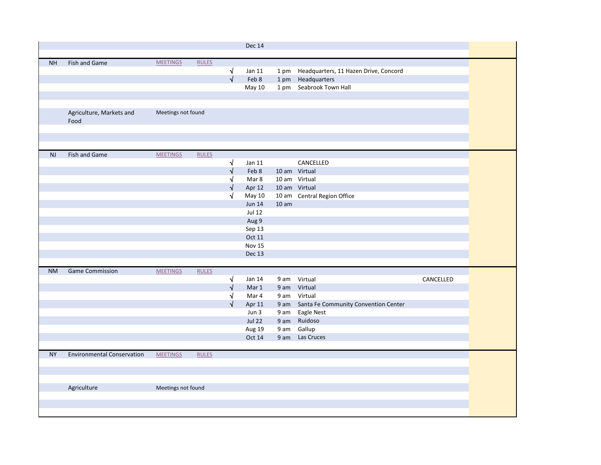|           |                                   |                    |              |            | <b>Dec 14</b> |                  |                                            |           |  |
|-----------|-----------------------------------|--------------------|--------------|------------|---------------|------------------|--------------------------------------------|-----------|--|
|           |                                   |                    |              |            |               |                  |                                            |           |  |
| <b>NH</b> | Fish and Game                     | <b>MEETINGS</b>    | <b>RULES</b> |            |               |                  |                                            |           |  |
|           |                                   |                    |              | √          | Jan 11        |                  | 1 pm Headquarters, 11 Hazen Drive, Concord |           |  |
|           |                                   |                    |              | $\sqrt{2}$ | Feb 8         | 1 pm             | Headquarters                               |           |  |
|           |                                   |                    |              |            | May 10        |                  | 1 pm Seabrook Town Hall                    |           |  |
|           |                                   |                    |              |            |               |                  |                                            |           |  |
|           |                                   |                    |              |            |               |                  |                                            |           |  |
|           | Agriculture, Markets and<br>Food  | Meetings not found |              |            |               |                  |                                            |           |  |
|           |                                   |                    |              |            |               |                  |                                            |           |  |
|           |                                   |                    |              |            |               |                  |                                            |           |  |
|           |                                   |                    |              |            |               |                  |                                            |           |  |
| NJ        | Fish and Game                     | <b>MEETINGS</b>    | <b>RULES</b> |            |               |                  |                                            |           |  |
|           |                                   |                    |              | $\sqrt{}$  | Jan 11        |                  | CANCELLED                                  |           |  |
|           |                                   |                    |              | $\sqrt{}$  | Feb 8         |                  | 10 am Virtual                              |           |  |
|           |                                   |                    |              | √          | Mar 8         |                  | 10 am Virtual                              |           |  |
|           |                                   |                    |              | √          | Apr 12        |                  | 10 am Virtual                              |           |  |
|           |                                   |                    |              | $\sqrt{}$  | May 10        |                  | 10 am Central Region Office                |           |  |
|           |                                   |                    |              |            | <b>Jun 14</b> | 10 <sub>am</sub> |                                            |           |  |
|           |                                   |                    |              |            | <b>Jul 12</b> |                  |                                            |           |  |
|           |                                   |                    |              |            | Aug 9         |                  |                                            |           |  |
|           |                                   |                    |              |            | Sep 13        |                  |                                            |           |  |
|           |                                   |                    |              |            | Oct 11        |                  |                                            |           |  |
|           |                                   |                    |              |            | Nov 15        |                  |                                            |           |  |
|           |                                   |                    |              |            | <b>Dec 13</b> |                  |                                            |           |  |
|           |                                   |                    |              |            |               |                  |                                            |           |  |
| <b>NM</b> | <b>Game Commission</b>            | <b>MEETINGS</b>    | <b>RULES</b> |            |               |                  |                                            |           |  |
|           |                                   |                    |              | √          | Jan 14        |                  | 9 am Virtual                               | CANCELLED |  |
|           |                                   |                    |              | $\sqrt{}$  | Mar 1         |                  | 9 am Virtual                               |           |  |
|           |                                   |                    |              | √          | Mar 4         |                  | 9 am Virtual                               |           |  |
|           |                                   |                    |              | √          | Apr 11        | 9 am             | Santa Fe Community Convention Center       |           |  |
|           |                                   |                    |              |            | Jun 3         | 9 am             | <b>Eagle Nest</b>                          |           |  |
|           |                                   |                    |              |            | <b>Jul 22</b> | 9 am             | Ruidoso                                    |           |  |
|           |                                   |                    |              |            | Aug 19        | 9 am             | Gallup                                     |           |  |
|           |                                   |                    |              |            | Oct 14        | 9 am             | Las Cruces                                 |           |  |
|           |                                   |                    |              |            |               |                  |                                            |           |  |
| <b>NY</b> | <b>Environmental Conservation</b> | <b>MEETINGS</b>    | <b>RULES</b> |            |               |                  |                                            |           |  |
|           |                                   |                    |              |            |               |                  |                                            |           |  |
|           |                                   |                    |              |            |               |                  |                                            |           |  |
|           |                                   |                    |              |            |               |                  |                                            |           |  |
|           | Agriculture                       | Meetings not found |              |            |               |                  |                                            |           |  |
|           |                                   |                    |              |            |               |                  |                                            |           |  |
|           |                                   |                    |              |            |               |                  |                                            |           |  |
|           |                                   |                    |              |            |               |                  |                                            |           |  |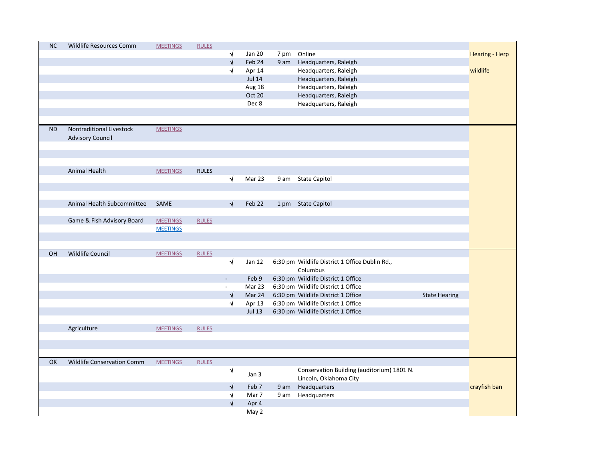| <b>NC</b> | Wildlife Resources Comm    | <b>MEETINGS</b> | <b>RULES</b> |                             |                |      |                                                                          |                      |                       |
|-----------|----------------------------|-----------------|--------------|-----------------------------|----------------|------|--------------------------------------------------------------------------|----------------------|-----------------------|
|           |                            |                 |              |                             | <b>Jan 20</b>  | 7 pm | Online                                                                   |                      | <b>Hearing - Herp</b> |
|           |                            |                 |              |                             | Feb 24         |      | 9 am Headquarters, Raleigh                                               |                      |                       |
|           |                            |                 |              | √                           | Apr 14         |      | Headquarters, Raleigh                                                    |                      | wildlife              |
|           |                            |                 |              |                             | <b>Jul 14</b>  |      | Headquarters, Raleigh                                                    |                      |                       |
|           |                            |                 |              |                             | Aug 18         |      | Headquarters, Raleigh                                                    |                      |                       |
|           |                            |                 |              |                             | Oct 20         |      | Headquarters, Raleigh                                                    |                      |                       |
|           |                            |                 |              |                             | Dec 8          |      | Headquarters, Raleigh                                                    |                      |                       |
|           |                            |                 |              |                             |                |      |                                                                          |                      |                       |
| <b>ND</b> | Nontraditional Livestock   | <b>MEETINGS</b> |              |                             |                |      |                                                                          |                      |                       |
|           | <b>Advisory Council</b>    |                 |              |                             |                |      |                                                                          |                      |                       |
|           |                            |                 |              |                             |                |      |                                                                          |                      |                       |
|           |                            |                 |              |                             |                |      |                                                                          |                      |                       |
|           | Animal Health              | <b>MEETINGS</b> | <b>RULES</b> |                             |                |      |                                                                          |                      |                       |
|           |                            |                 |              | $\sqrt{ }$                  | Mar 23         |      | 9 am State Capitol                                                       |                      |                       |
|           |                            |                 |              |                             |                |      |                                                                          |                      |                       |
|           | Animal Health Subcommittee | SAME            |              | √                           | Feb 22         |      | 1 pm State Capitol                                                       |                      |                       |
|           |                            |                 |              |                             |                |      |                                                                          |                      |                       |
|           |                            |                 |              |                             |                |      |                                                                          |                      |                       |
|           | Game & Fish Advisory Board | <b>MEETINGS</b> | <b>RULES</b> |                             |                |      |                                                                          |                      |                       |
|           |                            | <b>MEETINGS</b> |              |                             |                |      |                                                                          |                      |                       |
|           |                            |                 |              |                             |                |      |                                                                          |                      |                       |
| OH        |                            |                 |              |                             |                |      |                                                                          |                      |                       |
|           | Wildlife Council           | <b>MEETINGS</b> | <b>RULES</b> |                             |                |      |                                                                          |                      |                       |
|           |                            |                 |              | $\sqrt{}$                   | <b>Jan 12</b>  |      | 6:30 pm Wildlife District 1 Office Dublin Rd.,<br>Columbus               |                      |                       |
|           |                            |                 |              | $\sim$                      | Feb 9          |      |                                                                          |                      |                       |
|           |                            |                 |              | $\mathcal{L}^{\mathcal{L}}$ | Mar 23         |      | 6:30 pm Wildlife District 1 Office<br>6:30 pm Wildlife District 1 Office |                      |                       |
|           |                            |                 |              | $\sqrt{2}$                  | Mar 24         |      | 6:30 pm Wildlife District 1 Office                                       | <b>State Hearing</b> |                       |
|           |                            |                 |              | √                           | Apr 13         |      | 6:30 pm Wildlife District 1 Office                                       |                      |                       |
|           |                            |                 |              |                             | Jul 13         |      | 6:30 pm Wildlife District 1 Office                                       |                      |                       |
|           |                            |                 |              |                             |                |      |                                                                          |                      |                       |
|           | Agriculture                | <b>MEETINGS</b> | <b>RULES</b> |                             |                |      |                                                                          |                      |                       |
|           |                            |                 |              |                             |                |      |                                                                          |                      |                       |
| OK        |                            |                 |              |                             |                |      |                                                                          |                      |                       |
|           | Wildlife Conservation Comm | <b>MEETINGS</b> | <b>RULES</b> | $\sqrt{}$                   | Jan 3          |      | Conservation Building (auditorium) 1801 N.                               |                      |                       |
|           |                            |                 |              | N                           |                |      | Lincoln, Oklahoma City                                                   |                      |                       |
|           |                            |                 |              |                             | Feb 7          |      | 9 am Headquarters                                                        |                      | crayfish ban          |
|           |                            |                 |              | √                           | Mar 7<br>Apr 4 |      | 9 am Headquarters                                                        |                      |                       |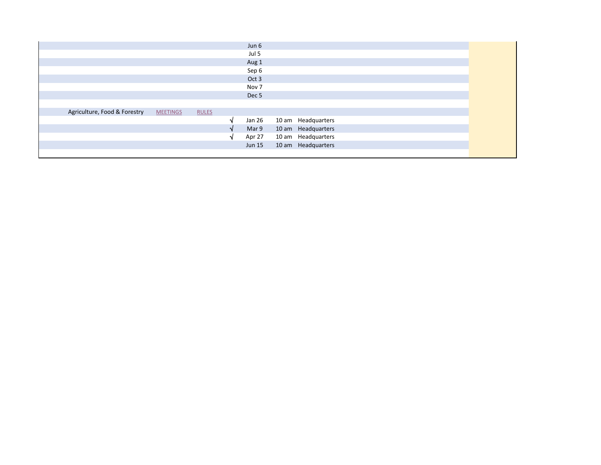|                              |                 |              | Jun 6            |                    |  |
|------------------------------|-----------------|--------------|------------------|--------------------|--|
|                              |                 |              | Jul 5            |                    |  |
|                              |                 |              | Aug 1            |                    |  |
|                              |                 |              | Sep 6            |                    |  |
|                              |                 |              | Oct 3            |                    |  |
|                              |                 |              | Nov 7            |                    |  |
|                              |                 |              | Dec <sub>5</sub> |                    |  |
|                              |                 |              |                  |                    |  |
| Agriculture, Food & Forestry | <b>MEETINGS</b> | <b>RULES</b> |                  |                    |  |
|                              |                 |              | Jan 26           | 10 am Headquarters |  |
|                              |                 |              | Mar 9            | 10 am Headquarters |  |
|                              |                 |              | Apr 27           | 10 am Headquarters |  |
|                              |                 |              | <b>Jun 15</b>    | 10 am Headquarters |  |
|                              |                 |              |                  |                    |  |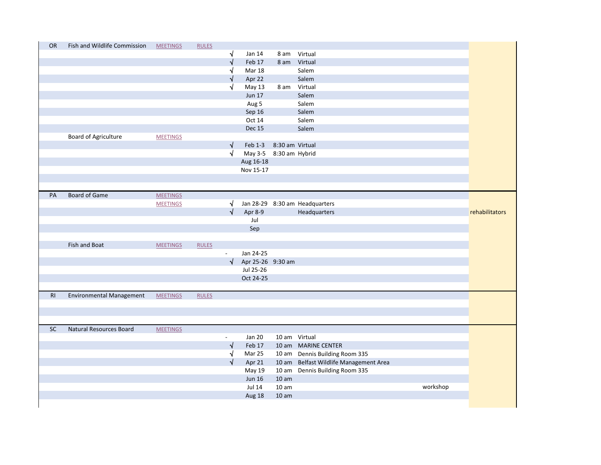| <b>OR</b> | Fish and Wildlife Commission    | <b>MEETINGS</b> | <b>RULES</b> |                          |                        |                  |                                        |          |                |
|-----------|---------------------------------|-----------------|--------------|--------------------------|------------------------|------------------|----------------------------------------|----------|----------------|
|           |                                 |                 |              | $\sqrt{ }$               | <b>Jan 14</b>          | 8 am             | Virtual                                |          |                |
|           |                                 |                 |              | $\sqrt{}$                | Feb 17                 | 8 am             | Virtual                                |          |                |
|           |                                 |                 |              | $\sqrt{ }$               | Mar 18                 |                  | Salem                                  |          |                |
|           |                                 |                 |              | √                        | Apr 22                 |                  | Salem                                  |          |                |
|           |                                 |                 |              | V                        | May 13                 | 8 am             | Virtual                                |          |                |
|           |                                 |                 |              |                          | <b>Jun 17</b>          |                  | Salem                                  |          |                |
|           |                                 |                 |              |                          | Aug 5                  |                  | Salem                                  |          |                |
|           |                                 |                 |              |                          | Sep 16                 |                  | Salem                                  |          |                |
|           |                                 |                 |              |                          | Oct 14                 |                  | Salem                                  |          |                |
|           |                                 |                 |              |                          | <b>Dec 15</b>          |                  | Salem                                  |          |                |
|           | <b>Board of Agriculture</b>     | <b>MEETINGS</b> |              |                          |                        |                  |                                        |          |                |
|           |                                 |                 |              | $\sqrt{}$                | Feb 1-3                | 8:30 am Virtual  |                                        |          |                |
|           |                                 |                 |              | $\sqrt{ }$               | May 3-5 8:30 am Hybrid |                  |                                        |          |                |
|           |                                 |                 |              |                          | Aug 16-18              |                  |                                        |          |                |
|           |                                 |                 |              |                          | Nov 15-17              |                  |                                        |          |                |
|           |                                 |                 |              |                          |                        |                  |                                        |          |                |
|           |                                 |                 |              |                          |                        |                  |                                        |          |                |
| PA        | <b>Board of Game</b>            | <b>MEETINGS</b> |              |                          |                        |                  |                                        |          |                |
|           |                                 | <b>MEETINGS</b> |              | $\sqrt{ }$               |                        |                  | Jan 28-29 8:30 am Headquarters         |          |                |
|           |                                 |                 |              | $\sqrt{ }$               | Apr 8-9                |                  | Headquarters                           |          | rehabilitators |
|           |                                 |                 |              |                          | Jul                    |                  |                                        |          |                |
|           |                                 |                 |              |                          | Sep                    |                  |                                        |          |                |
|           |                                 |                 |              |                          |                        |                  |                                        |          |                |
|           | Fish and Boat                   | <b>MEETINGS</b> | <b>RULES</b> |                          |                        |                  |                                        |          |                |
|           |                                 |                 |              | $\overline{\phantom{a}}$ | Jan 24-25              |                  |                                        |          |                |
|           |                                 |                 |              | $\sqrt{ }$               | Apr 25-26 9:30 am      |                  |                                        |          |                |
|           |                                 |                 |              |                          | Jul 25-26              |                  |                                        |          |                |
|           |                                 |                 |              |                          | Oct 24-25              |                  |                                        |          |                |
|           |                                 |                 |              |                          |                        |                  |                                        |          |                |
| R1        | <b>Environmental Management</b> | <b>MEETINGS</b> | <b>RULES</b> |                          |                        |                  |                                        |          |                |
|           |                                 |                 |              |                          |                        |                  |                                        |          |                |
|           |                                 |                 |              |                          |                        |                  |                                        |          |                |
|           |                                 |                 |              |                          |                        |                  |                                        |          |                |
| <b>SC</b> | Natural Resources Board         | <b>MEETINGS</b> |              |                          |                        |                  |                                        |          |                |
|           |                                 |                 |              | $\sim$                   | <b>Jan 20</b>          | 10 am Virtual    |                                        |          |                |
|           |                                 |                 |              | $\sqrt{ }$               | Feb 17                 |                  | 10 am MARINE CENTER                    |          |                |
|           |                                 |                 |              | $\sqrt{ }$               | Mar 25                 |                  | 10 am Dennis Building Room 335         |          |                |
|           |                                 |                 |              | $\sqrt{ }$               | Apr 21                 |                  | 10 am Belfast Wildlife Management Area |          |                |
|           |                                 |                 |              |                          | May 19                 |                  | 10 am Dennis Building Room 335         |          |                |
|           |                                 |                 |              |                          | <b>Jun 16</b>          | 10 <sub>am</sub> |                                        |          |                |
|           |                                 |                 |              |                          | <b>Jul 14</b>          | 10 <sub>am</sub> |                                        | workshop |                |
|           |                                 |                 |              |                          | Aug 18                 | 10 <sub>am</sub> |                                        |          |                |
|           |                                 |                 |              |                          |                        |                  |                                        |          |                |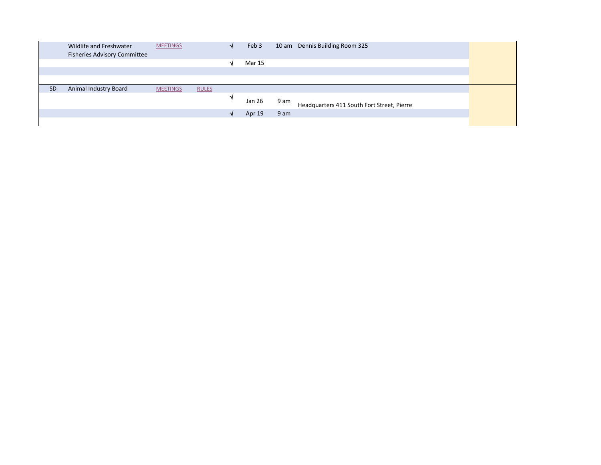|           | Wildlife and Freshwater             | <b>MEETINGS</b> |              | Feb 3  | 10 am Dennis Building Room 325                     |
|-----------|-------------------------------------|-----------------|--------------|--------|----------------------------------------------------|
|           | <b>Fisheries Advisory Committee</b> |                 |              |        |                                                    |
|           |                                     |                 |              | Mar 15 |                                                    |
|           |                                     |                 |              |        |                                                    |
|           |                                     |                 |              |        |                                                    |
|           |                                     |                 |              |        |                                                    |
| <b>SD</b> | <b>Animal Industry Board</b>        | <b>MEETINGS</b> | <b>RULES</b> |        |                                                    |
|           |                                     |                 |              | Jan 26 | 9 am<br>Headquarters 411 South Fort Street, Pierre |
|           |                                     |                 |              | Apr 19 | 9 am                                               |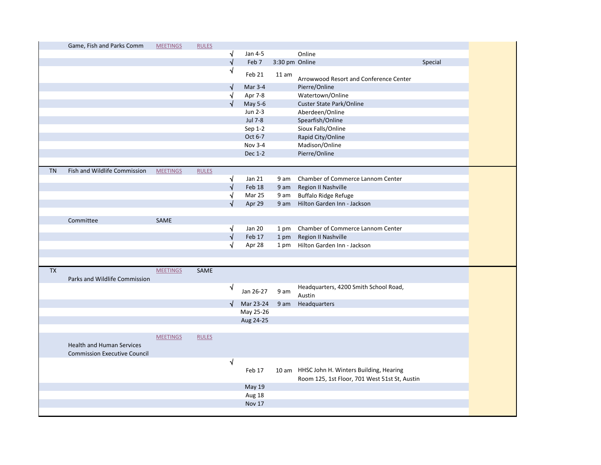|           | Game, Fish and Parks Comm           | <b>MEETINGS</b> | <b>RULES</b> |                       |               |                |                                               |         |
|-----------|-------------------------------------|-----------------|--------------|-----------------------|---------------|----------------|-----------------------------------------------|---------|
|           |                                     |                 |              | $\sqrt{ }$            | Jan 4-5       |                | Online                                        |         |
|           |                                     |                 |              | $\sqrt{}$             | Feb 7         | 3:30 pm Online |                                               | Special |
|           |                                     |                 |              | √                     | Feb 21        | 11 am          | Arrowwood Resort and Conference Center        |         |
|           |                                     |                 |              |                       | Mar 3-4       |                | Pierre/Online                                 |         |
|           |                                     |                 |              | N                     | Apr 7-8       |                | Watertown/Online                              |         |
|           |                                     |                 |              | √                     | May 5-6       |                | Custer State Park/Online                      |         |
|           |                                     |                 |              |                       | Jun 2-3       |                | Aberdeen/Online                               |         |
|           |                                     |                 |              |                       | Jul 7-8       |                | Spearfish/Online                              |         |
|           |                                     |                 |              |                       | Sep 1-2       |                | Sioux Falls/Online                            |         |
|           |                                     |                 |              |                       | Oct 6-7       |                | Rapid City/Online                             |         |
|           |                                     |                 |              |                       | Nov 3-4       |                | Madison/Online                                |         |
|           |                                     |                 |              |                       | Dec 1-2       |                | Pierre/Online                                 |         |
|           |                                     |                 |              |                       |               |                |                                               |         |
| <b>TN</b> | Fish and Wildlife Commission        | <b>MEETINGS</b> | <b>RULES</b> |                       |               |                |                                               |         |
|           |                                     |                 |              | √                     | Jan 21        | 9 am           | Chamber of Commerce Lannom Center             |         |
|           |                                     |                 |              | √                     | Feb 18        | 9 am           | Region II Nashville                           |         |
|           |                                     |                 |              | √                     | Mar 25        | 9 am           | <b>Buffalo Ridge Refuge</b>                   |         |
|           |                                     |                 |              | √                     | Apr 29        | 9 am           | Hilton Garden Inn - Jackson                   |         |
|           |                                     |                 |              |                       |               |                |                                               |         |
|           | Committee                           | SAME            |              |                       |               |                |                                               |         |
|           |                                     |                 |              | √                     | <b>Jan 20</b> | 1 pm           | Chamber of Commerce Lannom Center             |         |
|           |                                     |                 |              | $\overline{\sqrt{ }}$ | Feb 17        | 1 pm           | Region II Nashville                           |         |
|           |                                     |                 |              | √                     | Apr 28        |                | 1 pm Hilton Garden Inn - Jackson              |         |
|           |                                     |                 |              |                       |               |                |                                               |         |
|           |                                     |                 |              |                       |               |                |                                               |         |
| <b>TX</b> |                                     | <b>MEETINGS</b> | SAME         |                       |               |                |                                               |         |
|           | Parks and Wildlife Commission       |                 |              |                       |               |                |                                               |         |
|           |                                     |                 |              | N                     | Jan 26-27     | 9 am           | Headquarters, 4200 Smith School Road,         |         |
|           |                                     |                 |              |                       |               |                | Austin                                        |         |
|           |                                     |                 |              | $\sqrt{ }$            | Mar 23-24     | 9 am           | Headquarters                                  |         |
|           |                                     |                 |              |                       | May 25-26     |                |                                               |         |
|           |                                     |                 |              |                       | Aug 24-25     |                |                                               |         |
|           |                                     |                 |              |                       |               |                |                                               |         |
|           |                                     | <b>MEETINGS</b> | <b>RULES</b> |                       |               |                |                                               |         |
|           | <b>Health and Human Services</b>    |                 |              |                       |               |                |                                               |         |
|           | <b>Commission Executive Council</b> |                 |              |                       |               |                |                                               |         |
|           |                                     |                 |              | V                     |               |                |                                               |         |
|           |                                     |                 |              |                       | Feb 17        |                | 10 am HHSC John H. Winters Building, Hearing  |         |
|           |                                     |                 |              |                       |               |                | Room 125, 1st Floor, 701 West 51st St, Austin |         |
|           |                                     |                 |              |                       | <b>May 19</b> |                |                                               |         |
|           |                                     |                 |              |                       | Aug 18        |                |                                               |         |
|           |                                     |                 |              |                       | Nov 17        |                |                                               |         |
|           |                                     |                 |              |                       |               |                |                                               |         |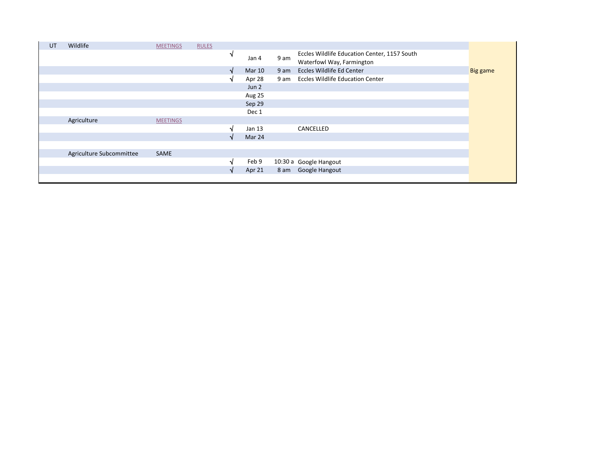| UT | Wildlife                 | <b>MEETINGS</b> | <b>RULES</b> |        |                  |      |                                                                           |          |
|----|--------------------------|-----------------|--------------|--------|------------------|------|---------------------------------------------------------------------------|----------|
|    |                          |                 |              | N      | Jan 4            | 9 am | Eccles Wildlife Education Center, 1157 South<br>Waterfowl Way, Farmington |          |
|    |                          |                 |              | N      | <b>Mar 10</b>    | 9 am | Eccles Wildlife Ed Center                                                 | Big game |
|    |                          |                 |              | N      | Apr 28           | 9 am | <b>Eccles Wildlife Education Center</b>                                   |          |
|    |                          |                 |              |        | Jun <sub>2</sub> |      |                                                                           |          |
|    |                          |                 |              |        | Aug 25           |      |                                                                           |          |
|    |                          |                 |              |        | Sep 29           |      |                                                                           |          |
|    |                          |                 |              |        | Dec 1            |      |                                                                           |          |
|    | Agriculture              | <b>MEETINGS</b> |              |        |                  |      |                                                                           |          |
|    |                          |                 |              | N      | Jan 13           |      | CANCELLED                                                                 |          |
|    |                          |                 |              | N      | Mar 24           |      |                                                                           |          |
|    |                          |                 |              |        |                  |      |                                                                           |          |
|    | Agriculture Subcommittee | SAME            |              |        |                  |      |                                                                           |          |
|    |                          |                 |              | ٦J     | Feb 9            |      | 10:30 a Google Hangout                                                    |          |
|    |                          |                 |              | $\sim$ | Apr 21           |      | 8 am Google Hangout                                                       |          |
|    |                          |                 |              |        |                  |      |                                                                           |          |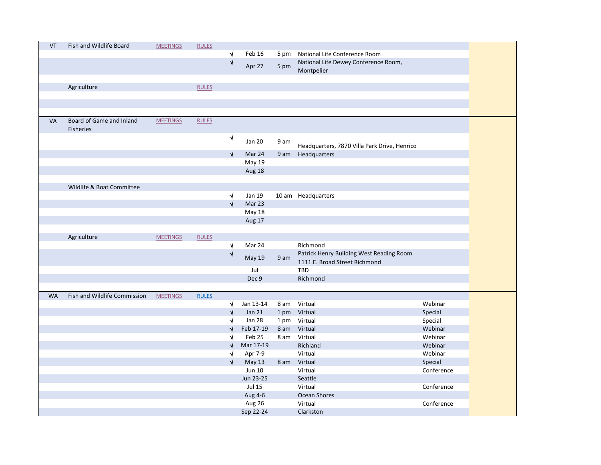| VT        | Fish and Wildlife Board      | <b>MEETINGS</b> | <b>RULES</b> |            |               |      |                                                    |            |
|-----------|------------------------------|-----------------|--------------|------------|---------------|------|----------------------------------------------------|------------|
|           |                              |                 |              | $\sqrt{}$  | Feb 16        | 5 pm | National Life Conference Room                      |            |
|           |                              |                 |              | $\sqrt{}$  | Apr 27        | 5 pm | National Life Dewey Conference Room,<br>Montpelier |            |
|           |                              |                 |              |            |               |      |                                                    |            |
|           | Agriculture                  |                 | <b>RULES</b> |            |               |      |                                                    |            |
|           |                              |                 |              |            |               |      |                                                    |            |
|           |                              |                 |              |            |               |      |                                                    |            |
|           |                              |                 |              |            |               |      |                                                    |            |
| <b>VA</b> | Board of Game and Inland     | <b>MEETINGS</b> | <b>RULES</b> |            |               |      |                                                    |            |
|           | <b>Fisheries</b>             |                 |              |            |               |      |                                                    |            |
|           |                              |                 |              | $\sqrt{}$  |               |      |                                                    |            |
|           |                              |                 |              |            | <b>Jan 20</b> | 9 am | Headquarters, 7870 Villa Park Drive, Henrico       |            |
|           |                              |                 |              | $\sqrt{ }$ | Mar 24        | 9 am | Headquarters                                       |            |
|           |                              |                 |              |            | May 19        |      |                                                    |            |
|           |                              |                 |              |            | Aug 18        |      |                                                    |            |
|           |                              |                 |              |            |               |      |                                                    |            |
|           | Wildlife & Boat Committee    |                 |              |            |               |      |                                                    |            |
|           |                              |                 |              | $\sqrt{ }$ | Jan 19        |      | 10 am Headquarters                                 |            |
|           |                              |                 |              | $\sqrt{ }$ | Mar 23        |      |                                                    |            |
|           |                              |                 |              |            | May 18        |      |                                                    |            |
|           |                              |                 |              |            | Aug 17        |      |                                                    |            |
|           |                              |                 |              |            |               |      |                                                    |            |
|           | Agriculture                  | <b>MEETINGS</b> | <b>RULES</b> |            |               |      |                                                    |            |
|           |                              |                 |              | $\sqrt{}$  | Mar 24        |      | Richmond                                           |            |
|           |                              |                 |              | $\sqrt{}$  | May 19        | 9 am | Patrick Henry Building West Reading Room           |            |
|           |                              |                 |              |            | Jul           |      | 1111 E. Broad Street Richmond<br><b>TBD</b>        |            |
|           |                              |                 |              |            | Dec 9         |      | Richmond                                           |            |
|           |                              |                 |              |            |               |      |                                                    |            |
| <b>WA</b> | Fish and Wildlife Commission | <b>MEETINGS</b> | <b>RULES</b> |            |               |      |                                                    |            |
|           |                              |                 |              | √          | Jan 13-14     | 8 am | Virtual                                            | Webinar    |
|           |                              |                 |              | √          | <b>Jan 21</b> |      | 1 pm Virtual                                       | Special    |
|           |                              |                 |              | N          | <b>Jan 28</b> |      | 1 pm Virtual                                       | Special    |
|           |                              |                 |              |            | Feb 17-19     | 8 am | Virtual                                            | Webinar    |
|           |                              |                 |              |            | Feb 25        | 8 am | Virtual                                            | Webinar    |
|           |                              |                 |              |            | Mar 17-19     |      | Richland                                           | Webinar    |
|           |                              |                 |              | √          | Apr 7-9       |      | Virtual                                            | Webinar    |
|           |                              |                 |              |            | <b>May 13</b> | 8 am | Virtual                                            | Special    |
|           |                              |                 |              |            | Jun 10        |      | Virtual                                            | Conference |
|           |                              |                 |              |            | Jun 23-25     |      | Seattle                                            |            |
|           |                              |                 |              |            | <b>Jul 15</b> |      | Virtual                                            | Conference |
|           |                              |                 |              |            | Aug 4-6       |      | Ocean Shores                                       |            |
|           |                              |                 |              |            | Aug 26        |      | Virtual                                            | Conference |
|           |                              |                 |              |            | Sep 22-24     |      | Clarkston                                          |            |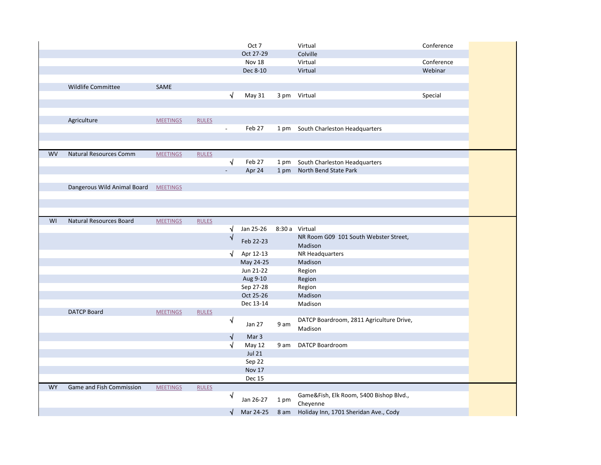|           |                                |                 |              |                | Oct 7         |      | Virtual                                             | Conference |
|-----------|--------------------------------|-----------------|--------------|----------------|---------------|------|-----------------------------------------------------|------------|
|           |                                |                 |              |                | Oct 27-29     |      | Colville                                            |            |
|           |                                |                 |              |                | Nov 18        |      | Virtual                                             | Conference |
|           |                                |                 |              |                | Dec 8-10      |      | Virtual                                             | Webinar    |
|           |                                |                 |              |                |               |      |                                                     |            |
|           | Wildlife Committee             | SAME            |              |                |               |      |                                                     |            |
|           |                                |                 |              | $\sqrt{ }$     | May 31        |      | 3 pm Virtual                                        | Special    |
|           |                                |                 |              |                |               |      |                                                     |            |
|           |                                |                 |              |                |               |      |                                                     |            |
|           | Agriculture                    | <b>MEETINGS</b> | <b>RULES</b> |                |               |      |                                                     |            |
|           |                                |                 |              | $\blacksquare$ | Feb 27        |      | 1 pm South Charleston Headquarters                  |            |
|           |                                |                 |              |                |               |      |                                                     |            |
|           |                                |                 |              |                |               |      |                                                     |            |
| <b>WV</b> | <b>Natural Resources Comm</b>  | <b>MEETINGS</b> | <b>RULES</b> |                |               |      |                                                     |            |
|           |                                |                 |              | √              | Feb 27        | 1 pm | South Charleston Headquarters                       |            |
|           |                                |                 |              |                | Apr 24        | 1 pm | North Bend State Park                               |            |
|           |                                |                 |              |                |               |      |                                                     |            |
|           | Dangerous Wild Animal Board    | <b>MEETINGS</b> |              |                |               |      |                                                     |            |
|           |                                |                 |              |                |               |      |                                                     |            |
|           |                                |                 |              |                |               |      |                                                     |            |
| WI        | <b>Natural Resources Board</b> | <b>MEETINGS</b> | <b>RULES</b> |                |               |      |                                                     |            |
|           |                                |                 |              | √              | Jan 25-26     |      | 8:30 a Virtual                                      |            |
|           |                                |                 |              | N              |               |      | NR Room G09 101 South Webster Street,               |            |
|           |                                |                 |              |                | Feb 22-23     |      | Madison                                             |            |
|           |                                |                 |              | √              | Apr 12-13     |      | NR Headquarters                                     |            |
|           |                                |                 |              |                | May 24-25     |      | Madison                                             |            |
|           |                                |                 |              |                | Jun 21-22     |      | Region                                              |            |
|           |                                |                 |              |                | Aug 9-10      |      | Region                                              |            |
|           |                                |                 |              |                | Sep 27-28     |      | Region                                              |            |
|           |                                |                 |              |                | Oct 25-26     |      | Madison                                             |            |
|           |                                |                 |              |                | Dec 13-14     |      | Madison                                             |            |
|           | <b>DATCP Board</b>             | <b>MEETINGS</b> | <b>RULES</b> |                |               |      |                                                     |            |
|           |                                |                 |              | √              | Jan 27        | 9 am | DATCP Boardroom, 2811 Agriculture Drive,            |            |
|           |                                |                 |              |                |               |      | Madison                                             |            |
|           |                                |                 |              | $\sqrt{}$      | Mar 3         |      |                                                     |            |
|           |                                |                 |              | √              | May 12        | 9 am | <b>DATCP Boardroom</b>                              |            |
|           |                                |                 |              |                | <b>Jul 21</b> |      |                                                     |            |
|           |                                |                 |              |                | Sep 22        |      |                                                     |            |
|           |                                |                 |              |                | Nov 17        |      |                                                     |            |
|           |                                |                 |              |                | Dec 15        |      |                                                     |            |
| <b>WY</b> | Game and Fish Commission       | <b>MEETINGS</b> | <b>RULES</b> |                |               |      |                                                     |            |
|           |                                |                 |              | ٧              | Jan 26-27     | 1 pm | Game&Fish, Elk Room, 5400 Bishop Blvd.,<br>Cheyenne |            |
|           |                                |                 |              | √              | Mar 24-25     | 8 am | Holiday Inn, 1701 Sheridan Ave., Cody               |            |